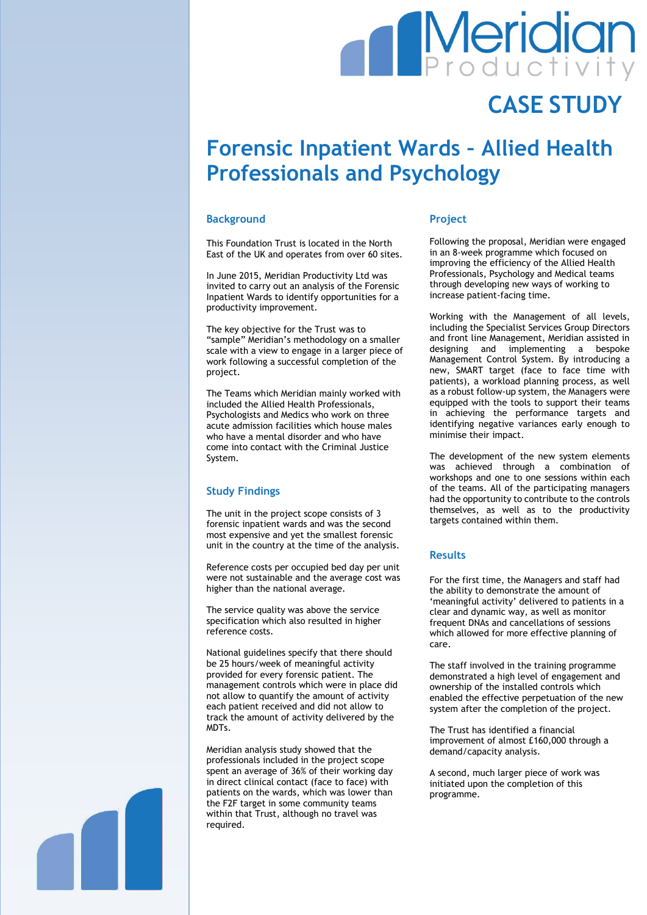# **Meridian**

## **CASE STUDY**

### **Forensic Inpatient Wards – Allied Health Professionals and Psychology**

#### **Background**

This Foundation Trust is located in the North East of the UK and operates from over 60 sites.

In June 2015, Meridian Productivity Ltd was invited to carry out an analysis of the Forensic Inpatient Wards to identify opportunities for a productivity improvement.

The key objective for the Trust was to "sample" Meridian's methodology on a smaller scale with a view to engage in a larger piece of work following a successful completion of the project.

The Teams which Meridian mainly worked with included the Allied Health Professionals, Psychologists and Medics who work on three acute admission facilities which house males who have a mental disorder and who have come into contact with the Criminal Justice System.

#### **Study Findings**

The unit in the project scope consists of 3 forensic inpatient wards and was the second most expensive and yet the smallest forensic unit in the country at the time of the analysis.

Reference costs per occupied bed day per unit were not sustainable and the average cost was higher than the national average.

The service quality was above the service specification which also resulted in higher reference costs.

National guidelines specify that there should be 25 hours/week of meaningful activity provided for every forensic patient. The management controls which were in place did not allow to quantify the amount of activity each patient received and did not allow to track the amount of activity delivered by the MDTs.

Meridian analysis study showed that the professionals included in the project scope spent an average of 36% of their working day in direct clinical contact (face to face) with patients on the wards, which was lower than the F2F target in some community teams within that Trust, although no travel was required.

#### **Project**

Following the proposal, Meridian were engaged in an 8-week programme which focused on improving the efficiency of the Allied Health Professionals, Psychology and Medical teams through developing new ways of working to increase patient-facing time.

Working with the Management of all levels, including the Specialist Services Group Directors and front line Management, Meridian assisted in designing and implementing a bespoke Management Control System. By introducing a new, SMART target (face to face time with patients), a workload planning process, as well as a robust follow-up system, the Managers were equipped with the tools to support their teams in achieving the performance targets and identifying negative variances early enough to minimise their impact.

The development of the new system elements was achieved through a combination of workshops and one to one sessions within each of the teams. All of the participating managers had the opportunity to contribute to the controls themselves, as well as to the productivity targets contained within them.

#### **Results**

For the first time, the Managers and staff had the ability to demonstrate the amount of 'meaningful activity' delivered to patients in a clear and dynamic way, as well as monitor frequent DNAs and cancellations of sessions which allowed for more effective planning of care.

The staff involved in the training programme demonstrated a high level of engagement and ownership of the installed controls which enabled the effective perpetuation of the new system after the completion of the project.

The Trust has identified a financial improvement of almost £160,000 through a demand/capacity analysis.

A second, much larger piece of work was initiated upon the completion of this programme.